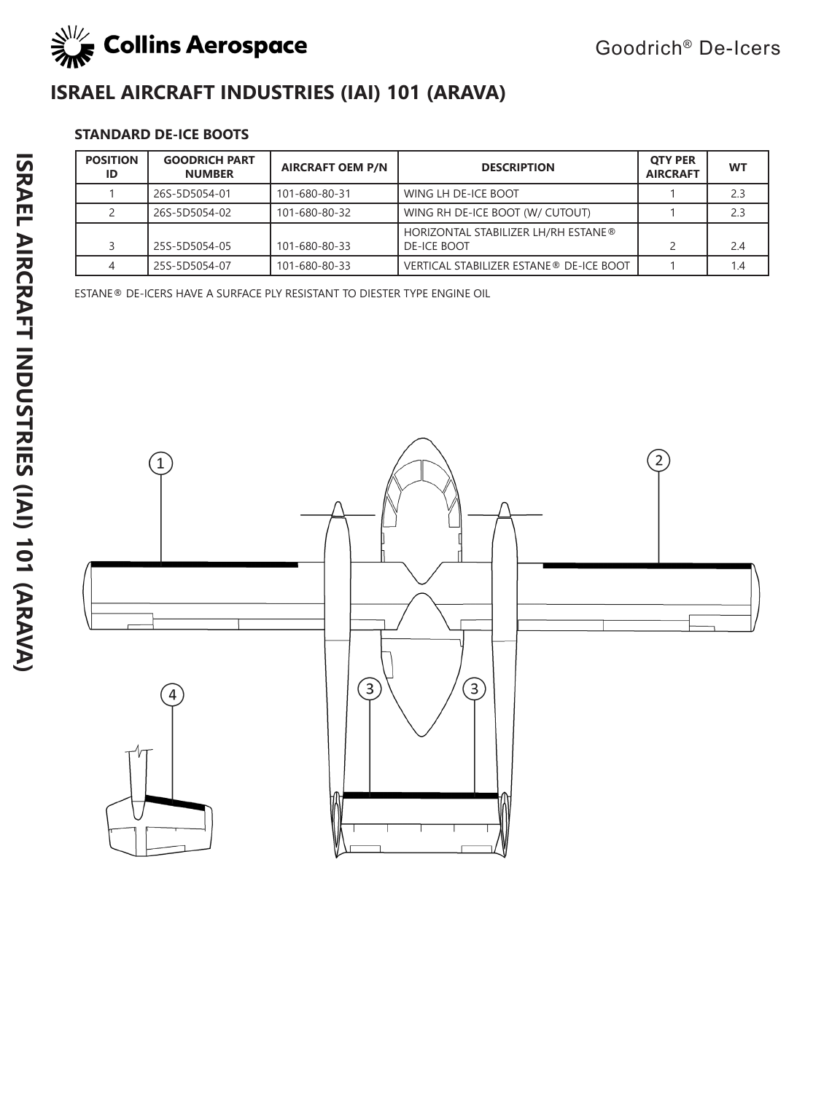

## **ISRAEL AIRCRAFT INDUSTRIES (IAI) 101 (ARAVA)**

### **STANDARD DE-ICE BOOTS**

| <b>POSITION</b><br>ID | <b>GOODRICH PART</b><br><b>NUMBER</b> | <b>AIRCRAFT OEM P/N</b> | <b>DESCRIPTION</b>                                 | <b>OTY PER</b><br><b>AIRCRAFT</b> | <b>WT</b> |
|-----------------------|---------------------------------------|-------------------------|----------------------------------------------------|-----------------------------------|-----------|
|                       | 26S-5D5054-01                         | 101-680-80-31           | WING LH DE-ICE BOOT                                |                                   | 2.3       |
|                       | 26S-5D5054-02                         | 101-680-80-32           | WING RH DE-ICE BOOT (W/ CUTOUT)                    |                                   | 2.3       |
|                       | 25S-5D5054-05                         | 101-680-80-33           | HORIZONTAL STABILIZER LH/RH ESTANE®<br>DE-ICE BOOT |                                   | 2.4       |
|                       | 25S-5D5054-07                         | 101-680-80-33           | VERTICAL STABILIZER ESTANE® DE-ICE BOOT            |                                   | 1.4       |

ESTANE® DE-ICERS HAVE A SURFACE PLY RESISTANT TO DIESTER TYPE ENGINE OIL

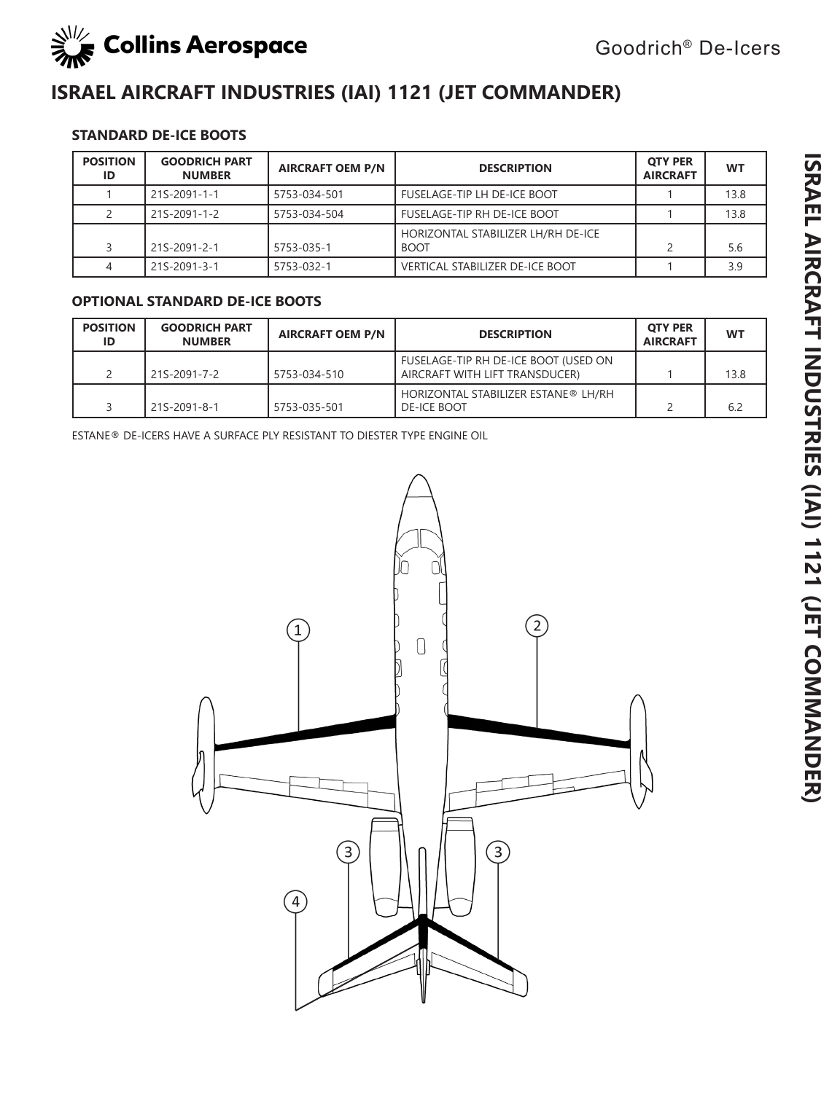

## **ISRAEL AIRCRAFT INDUSTRIES (IAI) 1121 (JET COMMANDER)**

## **STANDARD DE-ICE BOOTS**

| <b>POSITION</b><br>ID | <b>GOODRICH PART</b><br><b>NUMBER</b> | <b>AIRCRAFT OEM P/N</b> | <b>DESCRIPTION</b>                                | <b>OTY PER</b><br><b>AIRCRAFT</b> | <b>WT</b> |
|-----------------------|---------------------------------------|-------------------------|---------------------------------------------------|-----------------------------------|-----------|
|                       | 21S-2091-1-1                          | 5753-034-501            | <b>FUSELAGE-TIP LH DE-ICE BOOT</b>                |                                   | 13.8      |
|                       | 21S-2091-1-2                          | 5753-034-504            | <b>FUSELAGE-TIP RH DE-ICE BOOT</b>                |                                   | 13.8      |
|                       | 21S-2091-2-1                          | 5753-035-1              | HORIZONTAL STABILIZER LH/RH DE-ICE<br><b>BOOT</b> |                                   | 5.6       |
|                       | 21S-2091-3-1                          | 5753-032-1              | <b>VERTICAL STABILIZER DE-ICE BOOT</b>            |                                   | 3.9       |

#### **OPTIONAL STANDARD DE-ICE BOOTS**

| <b>POSITION</b><br>ID | <b>GOODRICH PART</b><br><b>NUMBER</b> | <b>AIRCRAFT OEM P/N</b> | <b>DESCRIPTION</b>                                                     | <b>OTY PER</b><br><b>AIRCRAFT</b> | WT   |
|-----------------------|---------------------------------------|-------------------------|------------------------------------------------------------------------|-----------------------------------|------|
|                       | 21S-2091-7-2                          | 5753-034-510            | FUSELAGE-TIP RH DE-ICE BOOT (USED ON<br>AIRCRAFT WITH LIFT TRANSDUCER) |                                   | 13.8 |
|                       | 21S-2091-8-1                          | 5753-035-501            | HORIZONTAL STABILIZER ESTANE® LH/RH<br><b>DE-ICE BOOT</b>              |                                   | 6.2  |

ESTANE® DE-ICERS HAVE A SURFACE PLY RESISTANT TO DIESTER TYPE ENGINE OIL

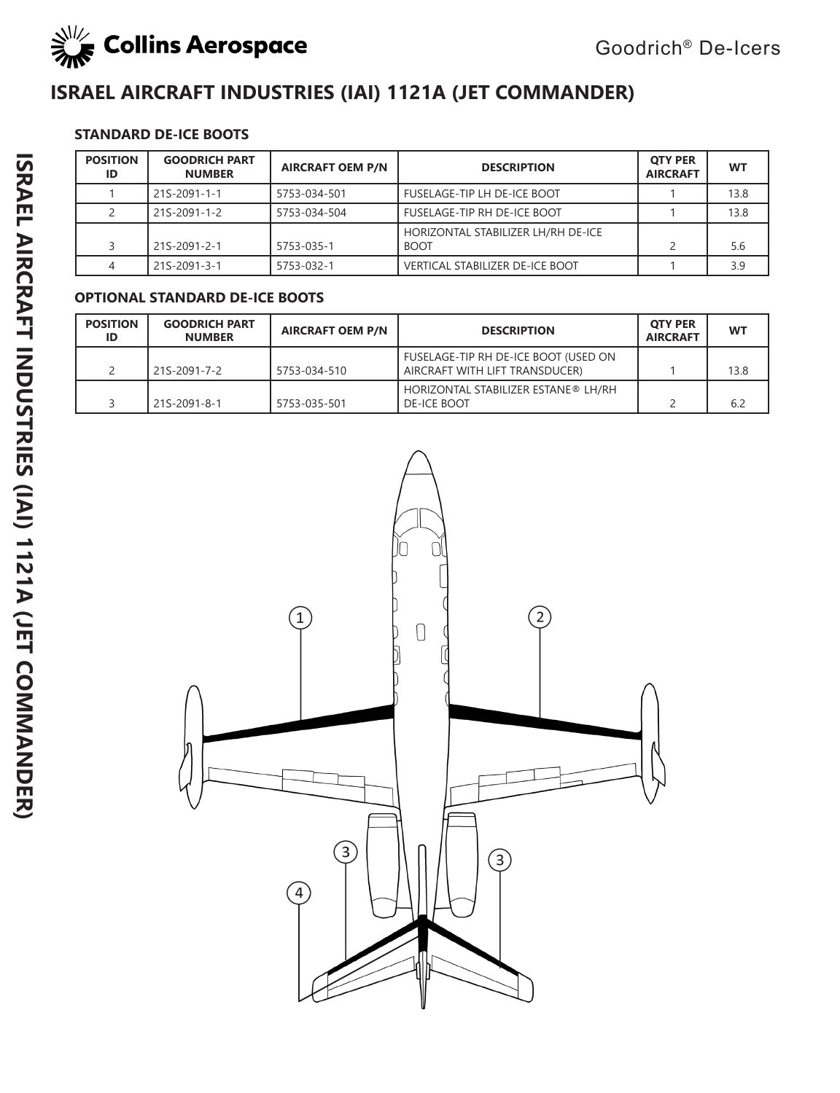

# **ISRAEL AIRCRAFT INDUSTRIES (IAI) 1121A (JET COMMANDER)**

### **STANDARD DE-ICE BOOTS**

| <b>POSITION</b><br>ID | <b>GOODRICH PART</b><br><b>NUMBER</b> | <b>AIRCRAFT OEM P/N</b> | <b>DESCRIPTION</b>                                | <b>OTY PER</b><br><b>AIRCRAFT</b> | <b>WT</b> |
|-----------------------|---------------------------------------|-------------------------|---------------------------------------------------|-----------------------------------|-----------|
|                       | 21S-2091-1-1                          | 5753-034-501            | FUSELAGE-TIP LH DE-ICE BOOT                       |                                   | 13.8      |
|                       | 21S-2091-1-2                          | 5753-034-504            | FUSELAGE-TIP RH DE-ICE BOOT                       |                                   | 13.8      |
|                       | 21S-2091-2-1                          | 5753-035-1              | HORIZONTAL STABILIZER LH/RH DE-ICE<br><b>BOOT</b> |                                   | 5.6       |
|                       | 21S-2091-3-1                          | 5753-032-1              | <b>VERTICAL STABILIZER DE-ICE BOOT</b>            |                                   | 3.9       |

### **OPTIONAL STANDARD DE-ICE BOOTS**

| <b>POSITION</b><br>ID | <b>GOODRICH PART</b><br><b>NUMBER</b> | <b>AIRCRAFT OEM P/N</b> | <b>DESCRIPTION</b>                                                     | <b>OTY PER</b><br><b>AIRCRAFT</b> | <b>WT</b> |
|-----------------------|---------------------------------------|-------------------------|------------------------------------------------------------------------|-----------------------------------|-----------|
|                       | 21S-2091-7-2                          | 5753-034-510            | FUSELAGE-TIP RH DE-ICE BOOT (USED ON<br>AIRCRAFT WITH LIFT TRANSDUCER) |                                   | 13.8      |
|                       | 21S-2091-8-1                          | 5753-035-501            | HORIZONTAL STABILIZER ESTANE® LH/RH<br><b>DE-ICE BOOT</b>              |                                   | 6.2       |